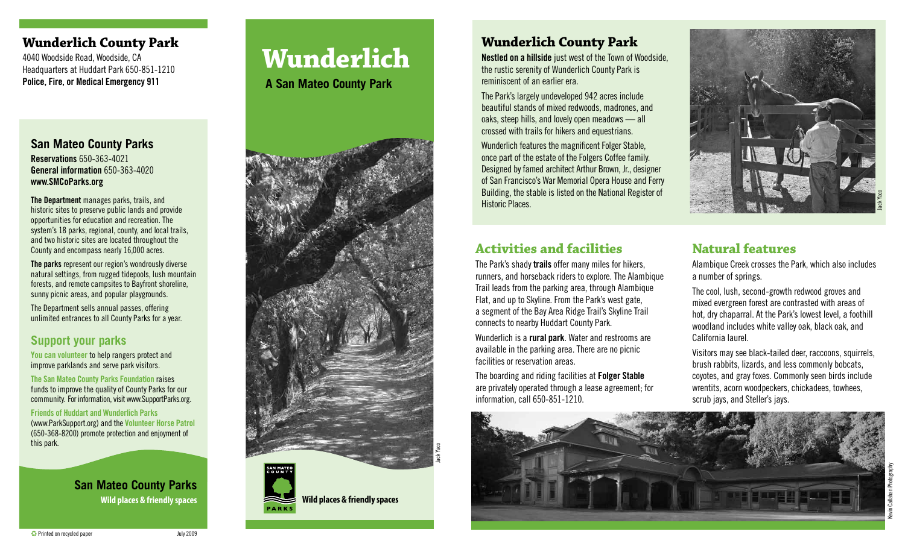## **Wunderlich County Park**

4040 Woodside Road, Woodside, CA Headquarters at Huddart Park 650-851-1210 Police, Fire, or Medical Emergency 911

#### **San Mateo County Parks** Reservations 650-363-4021

General information 650-363-4020 www.SMCoParks.org

The Department manages parks, trails, and historic sites to preserve public lands and provide opportunities for education and recreation. The system's 18 parks, regional, county, and local trails, and two historic sites are located throughout the County and encompass nearly 16,000 acres.

The parks represent our region's wondrously diverse natural settings, from rugged tidepools, lush mountain forests, and remote campsites to Bayfront shoreline, sunny picnic areas, and popular playgrounds.

The Department sells annual passes, offering unlimited entrances to all County Parks for a year.

# **Support your parks**

You can volunteer to help rangers protect and improve parklands and serve park visitors.

The San Mateo County Parks Foundation raises funds to improve the quality of County Parks for our community. For information, visit www.SupportParks.org.

Friends of Huddart and Wunderlich Parks

(www.ParkSupport.org) and the Volunteer Horse Patrol (650-368-8200) promote protection and enjoyment of this park.

> **San Mateo County Parks** Wild places & friendly spaces **Wild places & friendly spaces**

# **Wunderlich**

**A San Mateo County Park**





Wunderlich features the magnificent Folger Stable, once part of the estate of the Folgers Coffee family. Designed by famed architect Arthur Brown, Jr., designer of San Francisco's War Memorial Opera House and Ferry Building, the stable is listed on the National Register of Historic Places.

**Wunderlich County Park**

The Park's largely undeveloped 942 acres include beautiful stands of mixed redwoods, madrones, and

reminiscent of an earlier era.

Nestled on a hillside just west of the Town of Woodside, the rustic serenity of Wunderlich County Park is

# **Activities and facilities**

The Park's shady trails offer many miles for hikers, runners, and horseback riders to explore. The Alambique Trail leads from the parking area, through Alambique Flat, and up to Skyline. From the Park's west gate, a segment of the Bay Area Ridge Trail's Skyline Trail connects to nearby Huddart County Park.

Wunderlich is a rural park. Water and restrooms are available in the parking area. There are no picnic facilities or reservation areas.

The boarding and riding facilities at Folger Stable are privately operated through a lease agreement; for information, call 650-851-1210.



# **Natural features**

Alambique Creek crosses the Park, which also includes a number of springs.

The cool, lush, second-growth redwood groves and mixed evergreen forest are contrasted with areas of hot, dry chaparral. At the Park's lowest level, a foothill woodland includes white valley oak, black oak, and California laurel.

Visitors may see black-tailed deer, raccoons, squirrels, brush rabbits, lizards, and less commonly bobcats, coyotes, and gray foxes. Commonly seen birds include wrentits, acorn woodpeckers, chickadees, towhees, scrub jays, and Steller's jays.